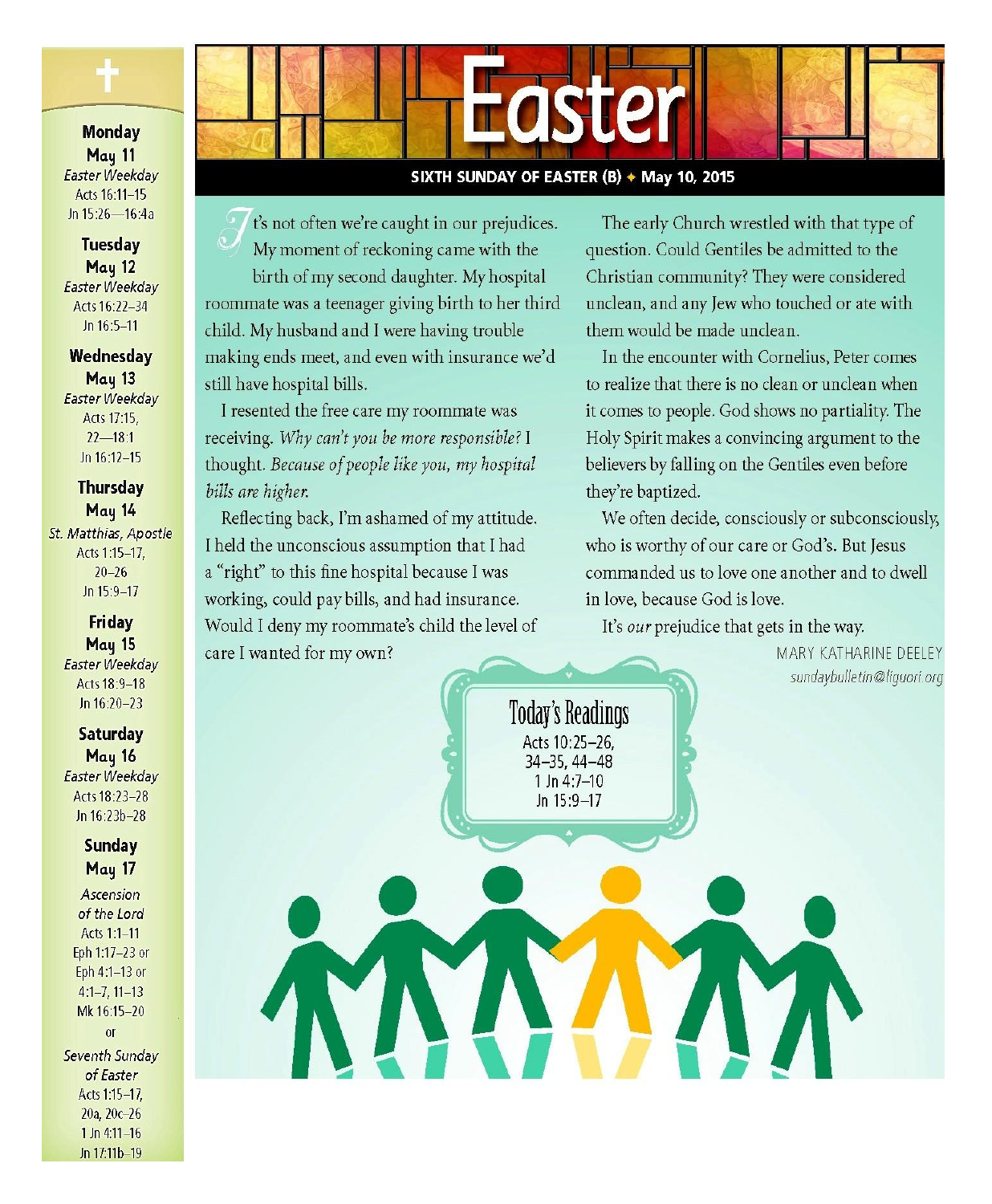

### **Monday** May 11 Easter Weekday Acts 16:11-15 Jn 15:26-16:4a

**Tuesday** May 12 Easter Weekday Acts 16:22-34 Jn 16:5-11

Wednesday **May 13** Easter Weekday Acts 17:15.  $22 - 18:1$ Jn 16:12-15

**Thursday** May 14 St. Matthias, Apostle Acts 1:15-17.  $20 - 26$ Jn  $15:9-17$ 

### Friday May 15 Easter Weekday Acts 18:9-18

**Saturday** May 16 Easter Weekday Acts 18:23-28 Jn 16:23b-28

Jn 16:20-23

**Sunday** May 17

Ascension of the Lord Acts 1:1-11 Eph 1:17-23 or Eph 4:1-13 or  $4:1-7, 11-13$ Mk 16:15-20  $\alpha$ Seventh Sunday of Easter Acts 1:15-17. 20a. 20c-26  $1$  Jn 4:11-16 Jn 17:11b-19



### SIXTH SUNDAY OF EASTER (B) + May 10, 2015

**Today's Readings** 

Acts 10:25-26.

34-35, 44-48

1 Jn 4:7-10

Jn 15:9-17

t's not often we're caught in our prejudices. My moment of reckoning came with the birth of my second daughter. My hospital roommate was a teenager giving birth to her third child. My husband and I were having trouble making ends meet, and even with insurance we'd still have hospital bills.

I resented the free care my roommate was receiving. Why can't you be more responsible? I thought. Because of people like you, my hospital bills are higher.

Reflecting back, I'm ashamed of my attitude. I held the unconscious assumption that I had a "right" to this fine hospital because I was working, could pay bills, and had insurance. Would I deny my roommate's child the level of care I wanted for my own?

The early Church wrestled with that type of question. Could Gentiles be admitted to the Christian community? They were considered unclean, and any Jew who touched or ate with them would be made unclean.

In the encounter with Cornelius, Peter comes to realize that there is no clean or unclean when it comes to people. God shows no partiality. The Holy Spirit makes a convincing argument to the believers by falling on the Gentiles even before they're baptized.

We often decide, consciously or subconsciously, who is worthy of our care or God's. But Jesus commanded us to love one another and to dwell in love, because God is love.

It's *our* prejudice that gets in the way.

MARY KATHARINE DEELEY sundaybulletin@liquori.org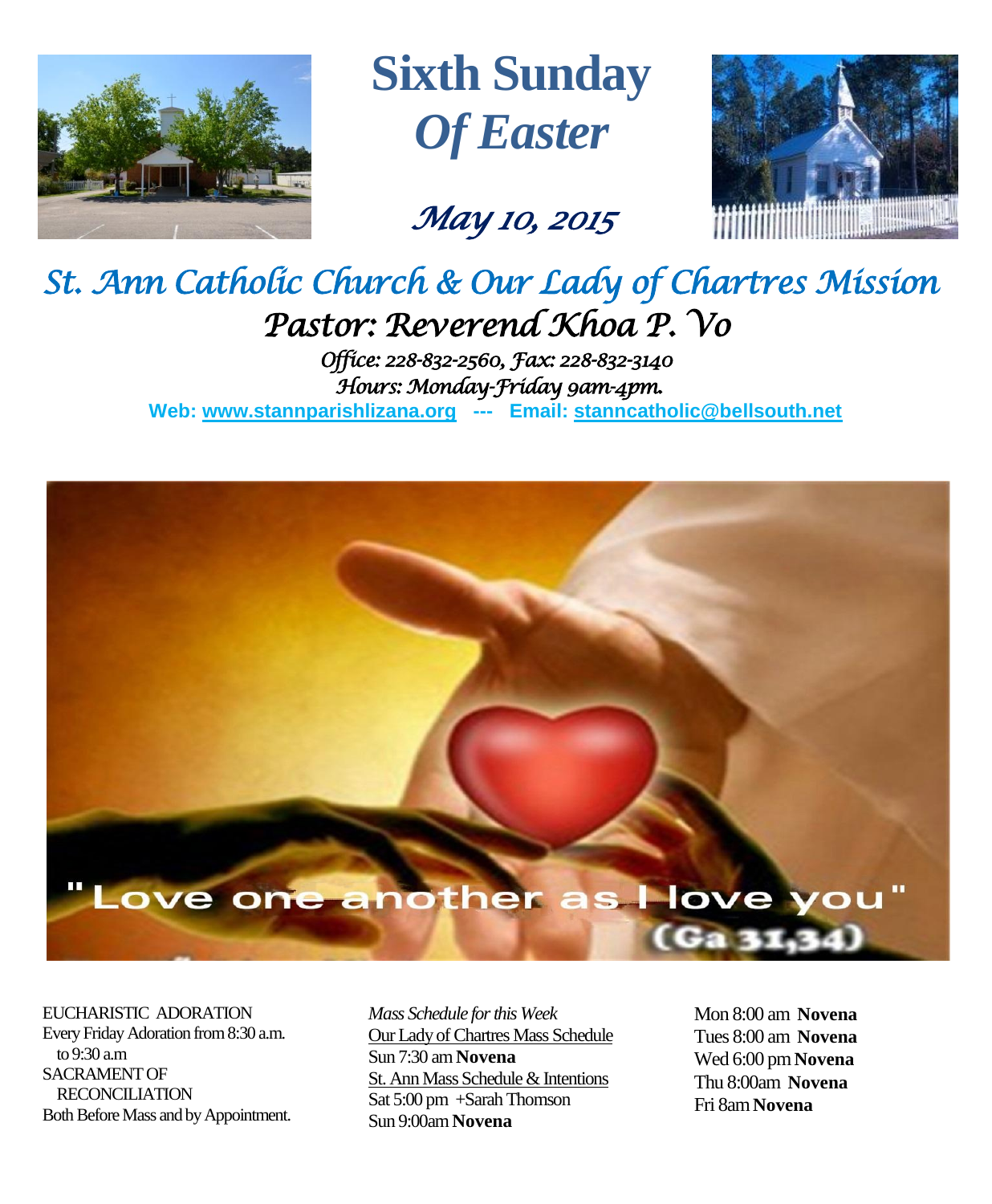

**Sixth Sunday** *Of Easter*

*May 10, 2015* 



# *St. Ann Catholic Church & Our Lady of Chartres Mission Pastor: Reverend Khoa P. Vo*

*Office: 228-832-2560, Fax: 228-832-3140 Hours: Monday-Friday 9am-4pm.*  **Web: www.stannparishlizana.org --- Email: [stanncatholic@bellsouth.net](mailto:stanncatholic@bellsouth.net)**

# "Love one another as I love you"

EUCHARISTIC ADORATION Every Friday Adoration from 8:30 a.m. to 9:30 a.m SACRAMENT OF RECONCILIATION Both Before Mass and by Appointment. *Mass Schedule for this Week*  Our Lady of Chartres Mass Schedule Sun 7:30 am **Novena** St. Ann Mass Schedule & Intentions Sat 5:00 pm +Sarah Thomson Sun 9:00am **Novena**

Mon 8:00 am **Novena** Tues 8:00 am **Novena** Wed 6:00 pm **Novena** Thu 8:00am **Novena** Fri 8am**Novena**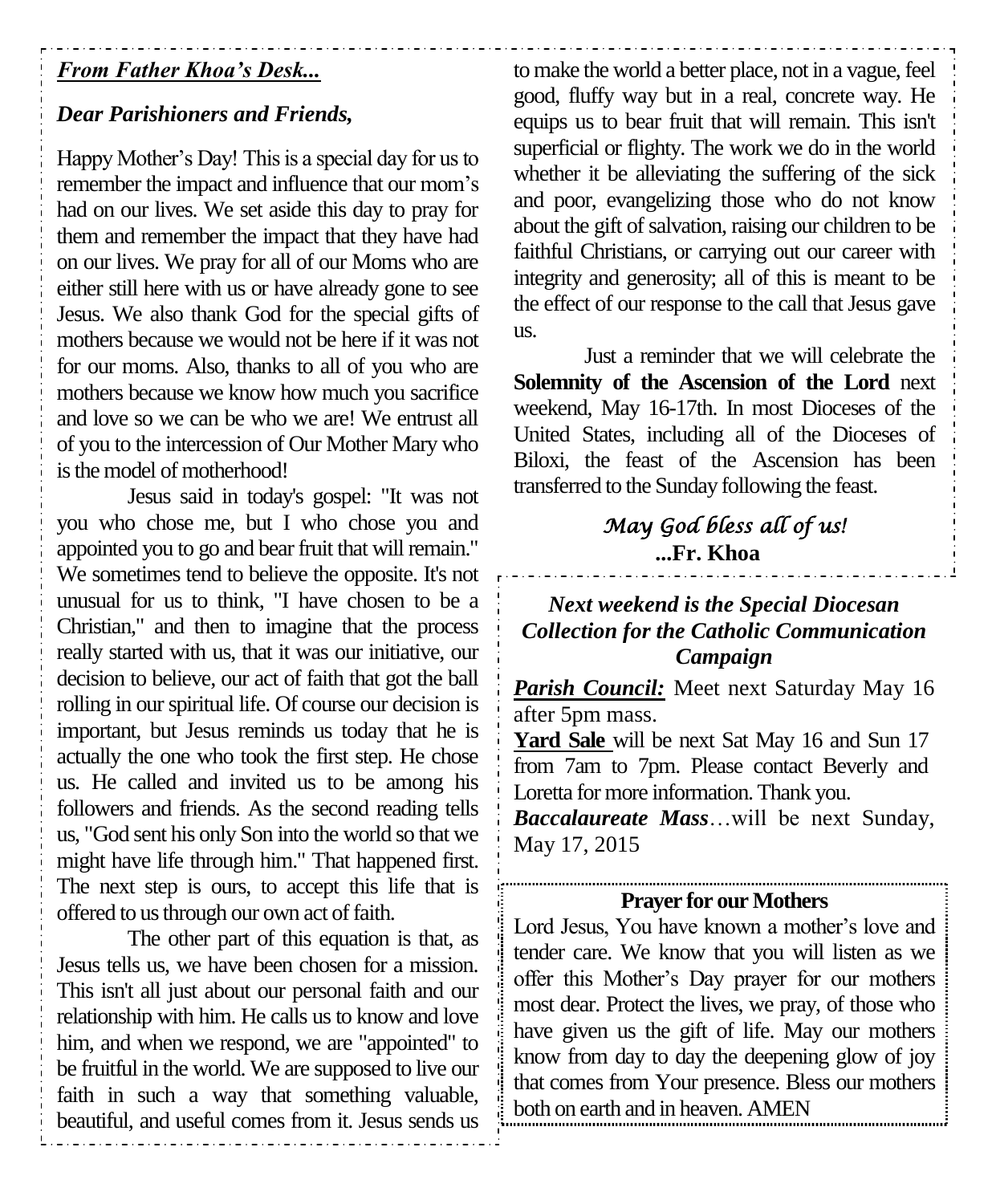# *From Father Khoa's Desk...*

# *Dear Parishioners and Friends,*

Happy Mother's Day! This is a special day for us to remember the impact and influence that our mom's had on our lives. We set aside this day to pray for them and remember the impact that they have had on our lives. We pray for all of our Moms who are either still here with us or have already gone to see Jesus. We also thank God for the special gifts of mothers because we would not be here if it was not for our moms. Also, thanks to all of you who are mothers because we know how much you sacrifice and love so we can be who we are! We entrust all of you to the intercession of Our Mother Mary who is the model of motherhood!

Jesus said in today's gospel: "It was not you who chose me, but I who chose you and appointed you to go and bear fruit that will remain." We sometimes tend to believe the opposite. It's not unusual for us to think, "I have chosen to be a Christian," and then to imagine that the process really started with us, that it was our initiative, our decision to believe, our act of faith that got the ball rolling in our spiritual life. Of course our decision is important, but Jesus reminds us today that he is actually the one who took the first step. He chose us. He called and invited us to be among his followers and friends. As the second reading tells us, "God sent his only Son into the world so that we might have life through him." That happened first. The next step is ours, to accept this life that is offered to us through our own act of faith.

The other part of this equation is that, as Jesus tells us, we have been chosen for a mission. This isn't all just about our personal faith and our relationship with him. He calls us to know and love him, and when we respond, we are "appointed" to be fruitful in the world. We are supposed to live our faith in such a way that something valuable, beautiful, and useful comes from it. Jesus sends us

to make the world a better place, not in a vague, feel good, fluffy way but in a real, concrete way. He equips us to bear fruit that will remain. This isn't superficial or flighty. The work we do in the world whether it be alleviating the suffering of the sick and poor, evangelizing those who do not know about the gift of salvation, raising our children to be faithful Christians, or carrying out our career with integrity and generosity; all of this is meant to be the effect of our response to the call that Jesus gave us.

Just a reminder that we will celebrate the **Solemnity of the Ascension of the Lord** next weekend, May 16-17th. In most Dioceses of the United States, including all of the Dioceses of Biloxi, the feast of the Ascension has been transferred to the Sunday following the feast.

# *May God bless all of us!*  **...Fr. Khoa**

# *Next weekend is the Special Diocesan Collection for the Catholic Communication Campaign*

*Parish Council:* Meet next Saturday May 16 after 5pm mass.

**Yard Sale** will be next Sat May 16 and Sun 17 from 7am to 7pm. Please contact Beverly and Loretta for more information. Thank you.

*Baccalaureate Mass*…will be next Sunday, May 17, 2015

## **Prayer for our Mothers**

Lord Jesus, You have known a mother's love and tender care. We know that you will listen as we offer this Mother's Day prayer for our mothers most dear. Protect the lives, we pray, of those who have given us the gift of life. May our mothers know from day to day the deepening glow of joy that comes from Your presence. Bless our mothers both on earth and in heaven. AMEN